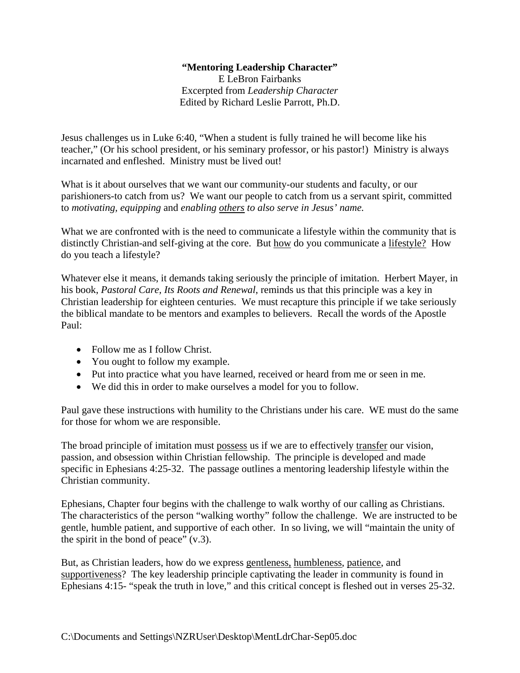## **"Mentoring Leadership Character"**

E LeBron Fairbanks Excerpted from *Leadership Character*  Edited by Richard Leslie Parrott, Ph.D.

Jesus challenges us in Luke 6:40, "When a student is fully trained he will become like his teacher," (Or his school president, or his seminary professor, or his pastor!) Ministry is always incarnated and enfleshed. Ministry must be lived out!

What is it about ourselves that we want our community-our students and faculty, or our parishioners-to catch from us? We want our people to catch from us a servant spirit, committed to *motivating, equipping* and *enabling others to also serve in Jesus' name.*

What we are confronted with is the need to communicate a lifestyle within the community that is distinctly Christian-and self-giving at the core. But how do you communicate a lifestyle? How do you teach a lifestyle?

Whatever else it means, it demands taking seriously the principle of imitation. Herbert Mayer, in his book, *Pastoral Care, Its Roots and Renewal*, reminds us that this principle was a key in Christian leadership for eighteen centuries. We must recapture this principle if we take seriously the biblical mandate to be mentors and examples to believers. Recall the words of the Apostle Paul:

- Follow me as I follow Christ.
- You ought to follow my example.
- Put into practice what you have learned, received or heard from me or seen in me.
- We did this in order to make ourselves a model for you to follow.

Paul gave these instructions with humility to the Christians under his care. WE must do the same for those for whom we are responsible.

The broad principle of imitation must possess us if we are to effectively transfer our vision, passion, and obsession within Christian fellowship. The principle is developed and made specific in Ephesians 4:25-32. The passage outlines a mentoring leadership lifestyle within the Christian community.

Ephesians, Chapter four begins with the challenge to walk worthy of our calling as Christians. The characteristics of the person "walking worthy" follow the challenge. We are instructed to be gentle, humble patient, and supportive of each other. In so living, we will "maintain the unity of the spirit in the bond of peace"  $(v.3)$ .

But, as Christian leaders, how do we express gentleness, humbleness, patience, and supportiveness? The key leadership principle captivating the leader in community is found in Ephesians 4:15- "speak the truth in love," and this critical concept is fleshed out in verses 25-32.